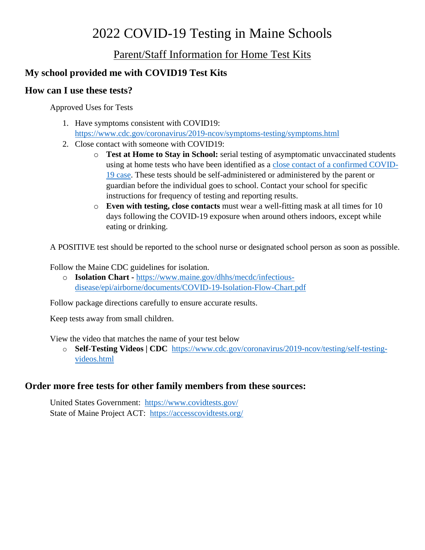# 2022 COVID-19 Testing in Maine Schools

# Parent/Staff Information for Home Test Kits

# **My school provided me with COVID19 Test Kits**

### **How can I use these tests?**

Approved Uses for Tests

- 1. Have symptoms consistent with COVID19: <https://www.cdc.gov/coronavirus/2019-ncov/symptoms-testing/symptoms.html>
- 2. Close contact with someone with COVID19:
	- o **Test at Home to Stay in School:** serial testing of asymptomatic unvaccinated students using at home tests who have been identified as a [close contact of a confirmed COVID-](https://www.cdc.gov/coronavirus/2019-ncov/global-covid-19/operational-considerations-contact-tracing.html#:~:text=Close%20contact%20is%20defined%20by,by%20local%20risk%20assessments.)[19 case.](https://www.cdc.gov/coronavirus/2019-ncov/global-covid-19/operational-considerations-contact-tracing.html#:~:text=Close%20contact%20is%20defined%20by,by%20local%20risk%20assessments.) These tests should be self-administered or administered by the parent or guardian before the individual goes to school. Contact your school for specific instructions for frequency of testing and reporting results.
	- o **Even with testing, close contacts** must wear a well-fitting mask at all times for 10 days following the COVID-19 exposure when around others indoors, except while eating or drinking.

A POSITIVE test should be reported to the school nurse or designated school person as soon as possible.

Follow the Maine CDC guidelines for isolation.

o **[Isolation Chart](file:///C:/Users/Elaine.Ouellette/Downloads/Isolation%20Chart) -** [https://www.maine.gov/dhhs/mecdc/infectious](https://www.maine.gov/dhhs/mecdc/infectious-disease/epi/airborne/documents/COVID-19-Isolation-Flow-Chart.pdf)[disease/epi/airborne/documents/COVID-19-Isolation-Flow-Chart.pdf](https://www.maine.gov/dhhs/mecdc/infectious-disease/epi/airborne/documents/COVID-19-Isolation-Flow-Chart.pdf)

Follow package directions carefully to ensure accurate results.

Keep tests away from small children.

View the video that matches the name of your test below

o **Self-Testing Videos | CDC** [https://www.cdc.gov/coronavirus/2019-ncov/testing/self-testing](https://www.cdc.gov/coronavirus/2019-ncov/testing/self-testing-videos.html)[videos.html](https://www.cdc.gov/coronavirus/2019-ncov/testing/self-testing-videos.html)

## **Order more free tests for other family members from these sources:**

United States Government: <https://www.covidtests.gov/> State of Maine Project ACT: <https://accesscovidtests.org/>